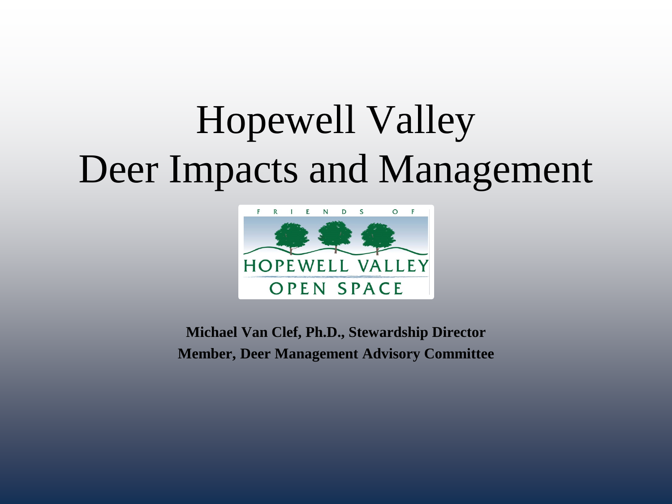# Hopewell Valley Deer Impacts and Management



**Michael Van Clef, Ph.D., Stewardship Director Member, Deer Management Advisory Committee**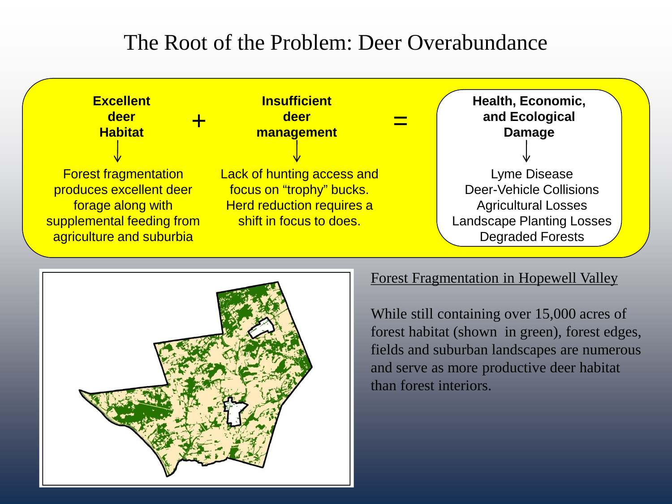### The Root of the Problem: Deer Overabundance





#### Forest Fragmentation in Hopewell Valley

While still containing over 15,000 acres of forest habitat (shown in green), forest edges, fields and suburban landscapes are numerous and serve as more productive deer habitat than forest interiors.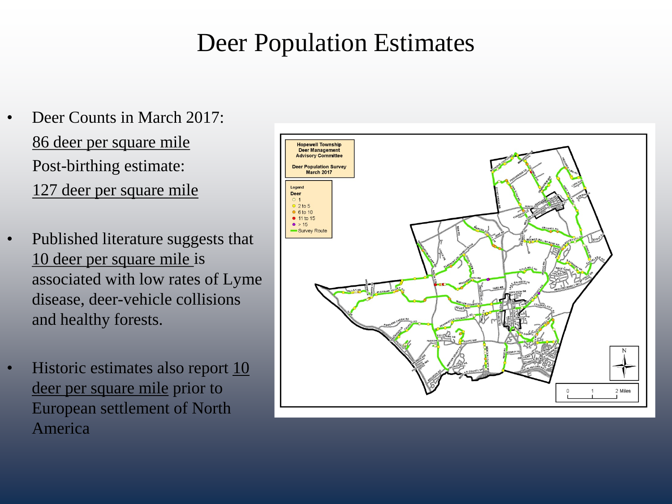### Deer Population Estimates

- Deer Counts in March 2017: 86 deer per square mile Post-birthing estimate: 127 deer per square mile
- Published literature suggests that 10 deer per square mile is associated with low rates of Lyme disease, deer-vehicle collisions and healthy forests.
- Historic estimates also report 10 deer per square mile prior to European settlement of North America

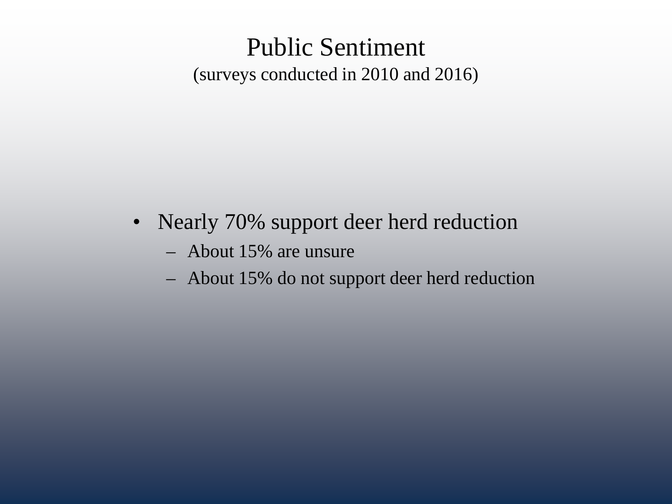### Public Sentiment (surveys conducted in 2010 and 2016)

- Nearly 70% support deer herd reduction
	- About 15% are unsure
	- About 15% do not support deer herd reduction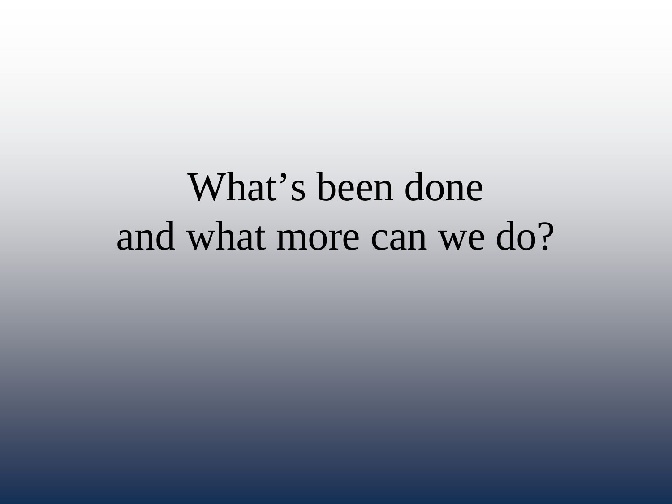## What's been done and what more can we do?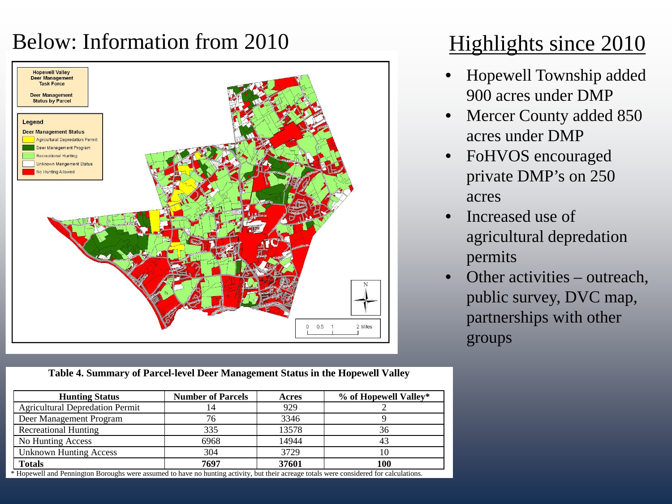### Below: Information from 2010 Highlights since 2010



- Hopewell Township added 900 acres under DMP
- Mercer County added 850 acres under DMP
- FoHVOS encouraged private DMP's on 250 acres
- Increased use of agricultural depredation permits
- Other activities outreach, public survey, DVC map, partnerships with other groups

#### **Table 4. Summary of Parcel-level Deer Management Status in the Hopewell Valley**

| <b>Number of Parcels</b> | Acres | % of Hopewell Valley* |
|--------------------------|-------|-----------------------|
| 14                       | 929   |                       |
| 76                       | 3346  |                       |
| 335                      | 13578 | 36                    |
| 6968                     | 14944 |                       |
| 304                      | 3729  | 10                    |
| 7697                     | 37601 | 100                   |
|                          |       |                       |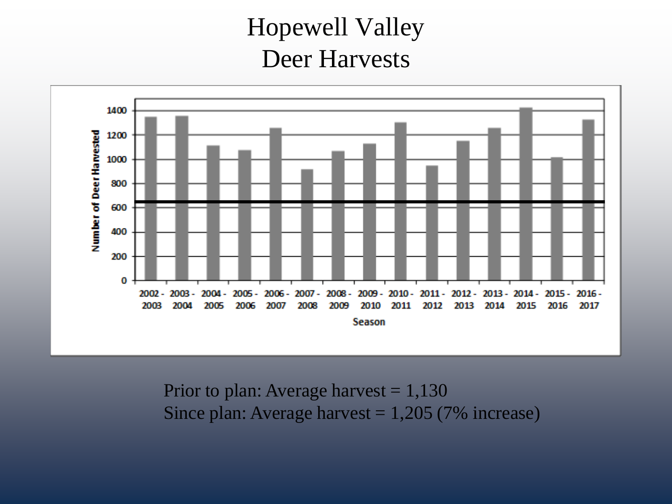### Hopewell Valley Deer Harvests



Prior to plan: Average harvest  $= 1,130$ Since plan: Average harvest  $= 1,205$  (7% increase)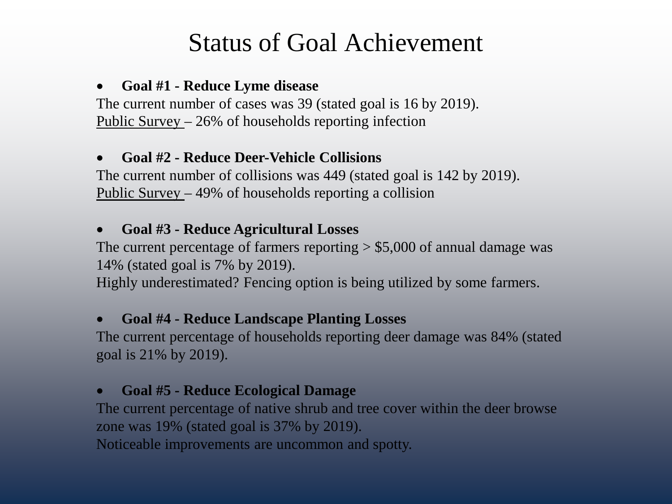### Status of Goal Achievement

#### • **Goal #1 - Reduce Lyme disease**

The current number of cases was 39 (stated goal is 16 by 2019). Public Survey – 26% of households reporting infection

#### • **Goal #2 - Reduce Deer-Vehicle Collisions**

The current number of collisions was 449 (stated goal is 142 by 2019). Public Survey – 49% of households reporting a collision

#### • **Goal #3 - Reduce Agricultural Losses**

The current percentage of farmers reporting  $> $5,000$  of annual damage was 14% (stated goal is 7% by 2019).

Highly underestimated? Fencing option is being utilized by some farmers.

#### • **Goal #4 - Reduce Landscape Planting Losses**

The current percentage of households reporting deer damage was 84% (stated goal is 21% by 2019).

#### • **Goal #5 - Reduce Ecological Damage**

The current percentage of native shrub and tree cover within the deer browse zone was 19% (stated goal is 37% by 2019).

Noticeable improvements are uncommon and spotty.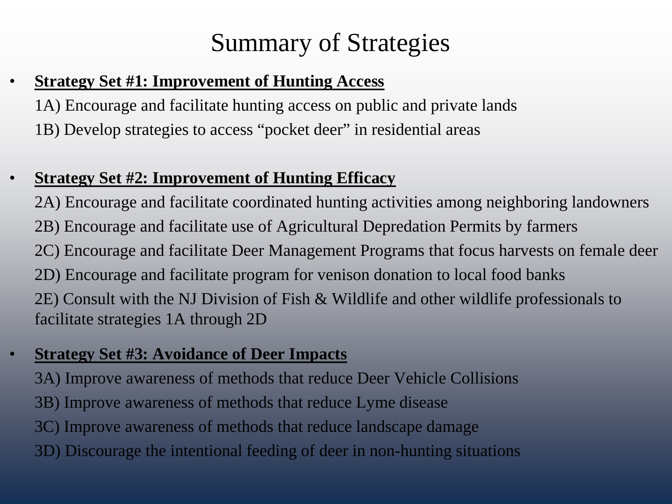### Summary of Strategies

#### • **Strategy Set #1: Improvement of Hunting Access**

1A) Encourage and facilitate hunting access on public and private lands 1B) Develop strategies to access "pocket deer" in residential areas

#### • **Strategy Set #2: Improvement of Hunting Efficacy**

2A) Encourage and facilitate coordinated hunting activities among neighboring landowners 2B) Encourage and facilitate use of Agricultural Depredation Permits by farmers 2C) Encourage and facilitate Deer Management Programs that focus harvests on female deer 2D) Encourage and facilitate program for venison donation to local food banks 2E) Consult with the NJ Division of Fish & Wildlife and other wildlife professionals to facilitate strategies 1A through 2D

#### • **Strategy Set #3: Avoidance of Deer Impacts**

- 3A) Improve awareness of methods that reduce Deer Vehicle Collisions
- 3B) Improve awareness of methods that reduce Lyme disease
- 3C) Improve awareness of methods that reduce landscape damage
- 3D) Discourage the intentional feeding of deer in non-hunting situations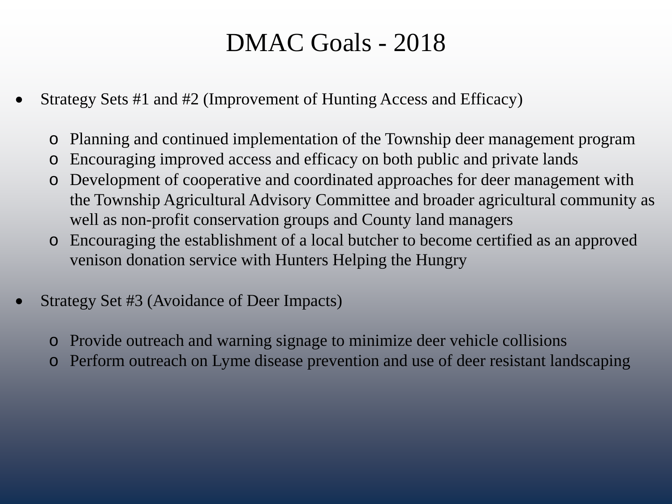### DMAC Goals - 2018

- Strategy Sets #1 and #2 (Improvement of Hunting Access and Efficacy)
	- o Planning and continued implementation of the Township deer management program
	- o Encouraging improved access and efficacy on both public and private lands
	- o Development of cooperative and coordinated approaches for deer management with the Township Agricultural Advisory Committee and broader agricultural community as well as non-profit conservation groups and County land managers
	- o Encouraging the establishment of a local butcher to become certified as an approved venison donation service with Hunters Helping the Hungry
- Strategy Set #3 (Avoidance of Deer Impacts)
	- o Provide outreach and warning signage to minimize deer vehicle collisions
	- o Perform outreach on Lyme disease prevention and use of deer resistant landscaping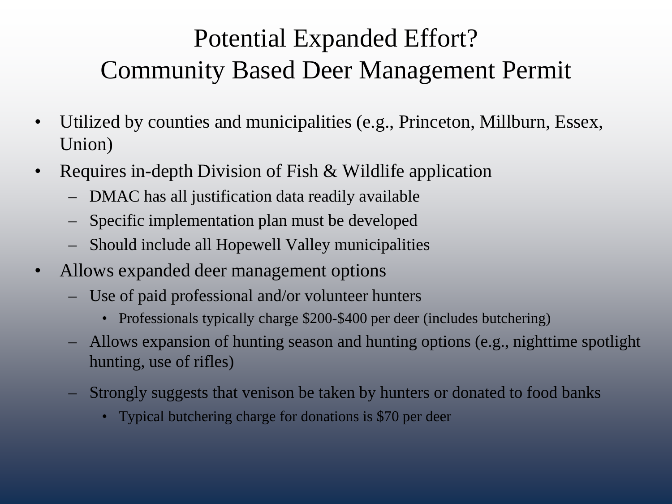## Potential Expanded Effort? Community Based Deer Management Permit

- Utilized by counties and municipalities (e.g., Princeton, Millburn, Essex, Union)
- Requires in-depth Division of Fish & Wildlife application
	- DMAC has all justification data readily available
	- Specific implementation plan must be developed
	- Should include all Hopewell Valley municipalities
- Allows expanded deer management options
	- Use of paid professional and/or volunteer hunters
		- Professionals typically charge \$200-\$400 per deer (includes butchering)
	- Allows expansion of hunting season and hunting options (e.g., nighttime spotlight hunting, use of rifles)
	- Strongly suggests that venison be taken by hunters or donated to food banks
		- Typical butchering charge for donations is \$70 per deer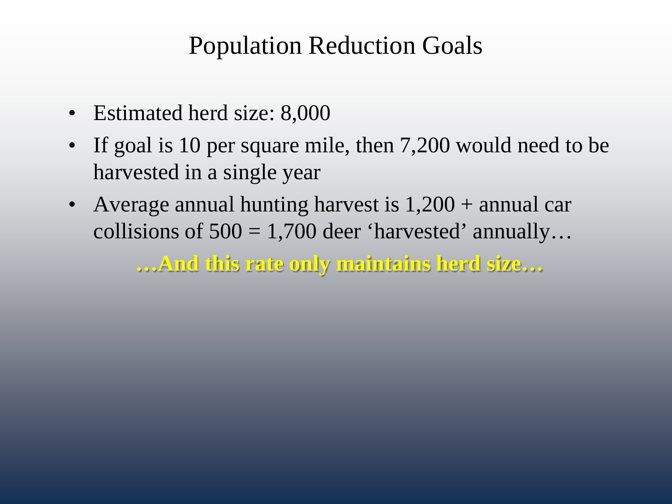### Population Reduction Goals

- Estimated herd size: 8,000
- If goal is 10 per square mile, then 7,200 would need to be harvested in a single year
- Average annual hunting harvest is  $1,200 +$  annual car collisions of  $500 = 1,700$  deer 'harvested' annually...

**…And this rate only maintains herd size…**